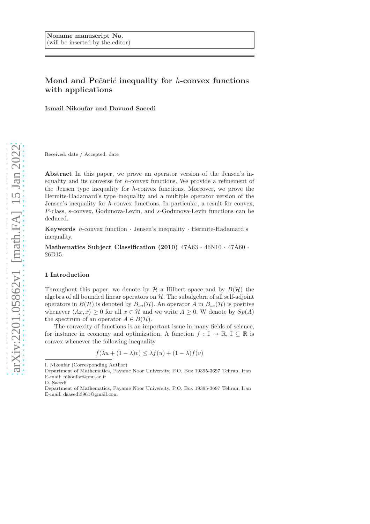# Mond and Pečarić inequality for  $h$ -convex functions with applications

Ismail Nikoufar and Davuod Saeedi

Received: date / Accepted: date

Abstract In this paper, we prove an operator version of the Jensen's inequality and its converse for h-convex functions. We provide a refinement of the Jensen type inequality for h-convex functions. Moreover, we prove the Hermite-Hadamard's type inequality and a multiple operator version of the Jensen's inequality for h-convex functions. In particular, a result for convex, P-class, s-convex, Godunova-Levin, and s-Godunova-Levin functions can be deduced.

**Keywords** h-convex function  $\cdot$  Jensen's inequality  $\cdot$  Hermite-Hadamard's inequality.

Mathematics Subject Classification (2010) 47A63 · 46N10 · 47A60 · 26D15.

# 1 Introduction

Throughout this paper, we denote by  $\mathcal H$  a Hilbert space and by  $B(\mathcal H)$  the algebra of all bounded linear operators on  $H$ . The subalgebra of all self-adjoint operators in  $B(\mathcal{H})$  is denoted by  $B_{sa}(\mathcal{H})$ . An operator A in  $B_{sa}(\mathcal{H})$  is positive whenever  $\langle Ax, x \rangle \ge 0$  for all  $x \in \mathcal{H}$  and we write  $A \ge 0$ . W denote by  $Sp(A)$ the spectrum of an operator  $A \in B(H)$ .

The convexity of functions is an important issue in many fields of science, for instance in economy and optimization. A function  $f : \mathbb{I} \to \mathbb{R}, \mathbb{I} \subseteq \mathbb{R}$  is convex whenever the following inequality

$$
f(\lambda u + (1 - \lambda)v) \leq \lambda f(u) + (1 - \lambda)f(v)
$$

I. Nikoufar (Corresponding Author)

Department of Mathematics, Payame Noor University, P.O. Box 19395-3697 Tehran, Iran E-mail: nikoufar@pnu.ac.ir

D. Saeedi

Department of Mathematics, Payame Noor University, P.O. Box 19395-3697 Tehran, Iran E-mail: dsaeedi3961@gmail.com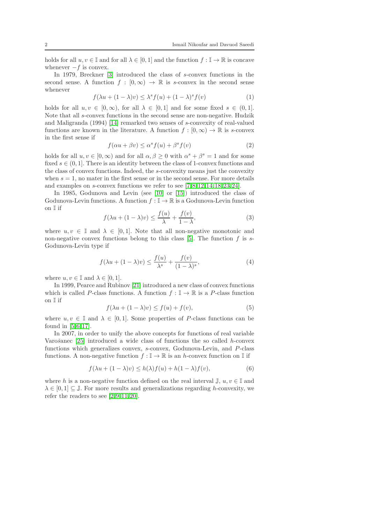holds for all  $u, v \in \mathbb{I}$  and for all  $\lambda \in [0, 1]$  and the function  $f : \mathbb{I} \to \mathbb{R}$  is concave whenever  $-f$  is convex.

In 1979, Breckner [\[3\]](#page-13-0) introduced the class of s-convex functions in the second sense. A function  $f : [0, \infty) \to \mathbb{R}$  is s-convex in the second sense whenever

$$
f(\lambda u + (1 - \lambda)v) \le \lambda^s f(u) + (1 - \lambda)^s f(v)
$$
\n(1)

holds for all  $u, v \in [0, \infty)$ , for all  $\lambda \in [0, 1]$  and for some fixed  $s \in (0, 1]$ . Note that all s-convex functions in the second sense are non-negative. Hudzik and Maligranda (1994) [\[14\]](#page-14-0) remarked two senses of s-convexity of real-valued functions are known in the literature. A function  $f : [0, \infty) \to \mathbb{R}$  is s-convex in the first sense if

$$
f(\alpha u + \beta v) \le \alpha^s f(u) + \beta^s f(v)
$$
 (2)

holds for all  $u, v \in [0, \infty)$  and for all  $\alpha, \beta \ge 0$  with  $\alpha^s + \beta^s = 1$  and for some fixed  $s \in (0, 1]$ . There is an identity between the class of 1-convex functions and the class of convex functions. Indeed, the s-convexity means just the convexity when  $s = 1$ , no mater in the first sense or in the second sense. For more details and examples on s-convex functions we refer to see [\[7,](#page-13-1)[8,](#page-14-1)[12,](#page-14-2)[14,](#page-14-0)[18,](#page-14-3)[23,](#page-14-4)[24\]](#page-14-5).

In 1985, Godunova and Levin (see [\[10\]](#page-14-6) or [\[15\]](#page-14-7)) introduced the class of Godunova-Levin functions. A function  $f : \mathbb{I} \to \mathbb{R}$  is a Godunova-Levin function on I if

$$
f(\lambda u + (1 - \lambda)v) \le \frac{f(u)}{\lambda} + \frac{f(v)}{1 - \lambda},
$$
\n(3)

where  $u, v \in \mathbb{I}$  and  $\lambda \in [0, 1]$ . Note that all non-negative monotonic and non-negative convex functions belong to this class  $[5]$ . The function f is s-Godunova-Levin type if

$$
f(\lambda u + (1 - \lambda)v) \le \frac{f(u)}{\lambda^s} + \frac{f(v)}{(1 - \lambda)^s},\tag{4}
$$

where  $u, v \in \mathbb{I}$  and  $\lambda \in [0, 1]$ .

In 1999, Pearce and Rubinov [\[21\]](#page-14-8) introduced a new class of convex functions which is called P-class functions. A function  $f : \mathbb{I} \to \mathbb{R}$  is a P-class function on I if

$$
f(\lambda u + (1 - \lambda)v) \le f(u) + f(v),\tag{5}
$$

where  $u, v \in \mathbb{I}$  and  $\lambda \in [0, 1]$ . Some properties of P-class functions can be found in [\[5,](#page-13-2)[6,](#page-13-3)[17\]](#page-14-9).

In 2007, in order to unify the above concepts for functions of real variable Varo $\check{\sigma}$ sanec [\[25\]](#page-14-10) introduced a wide class of functions the so called h-convex functions which generalizes convex, s-convex, Godunova-Levin, and P-class functions. A non-negative function  $f : \mathbb{I} \to \mathbb{R}$  is an h-convex function on  $\mathbb{I}$  if

$$
f(\lambda u + (1 - \lambda)v) \le h(\lambda)f(u) + h(1 - \lambda)f(v),
$$
\n(6)

where h is a non-negative function defined on the real interval  $\mathbb{J}, u, v \in \mathbb{I}$  and  $\lambda \in [0, 1] \subseteq \mathbb{J}$ . For more results and generalizations regarding h-convexity, we refer the readers to see  $[2, 9, 11, 20]$  $[2, 9, 11, 20]$  $[2, 9, 11, 20]$  $[2, 9, 11, 20]$  $[2, 9, 11, 20]$  $[2, 9, 11, 20]$ .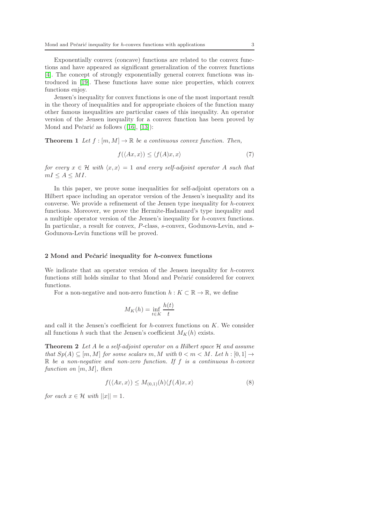Exponentially convex (concave) functions are related to the convex functions and have appeared as significant generalization of the convex functions [\[4\]](#page-13-5). The concept of strongly exponentially general convex functions was introduced in [\[19\]](#page-14-14). These functions have some nice properties, which convex functions enjoy.

Jensen's inequality for convex functions is one of the most important result in the theory of inequalities and for appropriate choices of the function many other famous inequalities are particular cases of this inequality. An operator version of the Jensen inequality for a convex function has been proved by Mond and Pečarić as follows  $([16], [13])$  $([16], [13])$  $([16], [13])$  $([16], [13])$  $([16], [13])$ :

<span id="page-2-2"></span>**Theorem 1** Let  $f : [m, M] \to \mathbb{R}$  be a continuous convex function. Then,

$$
f(\langle Ax, x \rangle) \le \langle f(A)x, x \rangle \tag{7}
$$

for every  $x \in \mathcal{H}$  with  $\langle x, x \rangle = 1$  and every self-adjoint operator A such that  $mI \leq A \leq M I$ .

In this paper, we prove some inequalities for self-adjoint operators on a Hilbert space including an operator version of the Jensen's inequality and its converse. We provide a refinement of the Jensen type inequality for h-convex functions. Moreover, we prove the Hermite-Hadamard's type inequality and a multiple operator version of the Jensen's inequality for h-convex functions. In particular, a result for convex, P-class, s-convex, Godunova-Levin, and s-Godunova-Levin functions will be proved.

# 2 Mond and Pečarić inequality for  $h$ -convex functions

We indicate that an operator version of the Jensen inequality for h-convex functions still holds similar to that Mond and Pečarić considered for convex functions.

For a non-negative and non-zero function  $h : K \subset \mathbb{R} \to \mathbb{R}$ , we define

$$
M_K(h) = \inf_{t \in K} \frac{h(t)}{t}
$$

<span id="page-2-1"></span>and call it the Jensen's coefficient for  $h$ -convex functions on  $K$ . We consider all functions h such that the Jensen's coefficient  $M_K(h)$  exists.

**Theorem 2** Let A be a self-adjoint operator on a Hilbert space  $H$  and assume that  $Sp(A) \subseteq [m, M]$  for some scalars m, M with  $0 < m < M$ . Let  $h : [0, 1] \rightarrow$  $\mathbb R$  be a non-negative and non-zero function. If f is a continuous h-convex function on  $[m, M]$ , then

<span id="page-2-0"></span>
$$
f(\langle Ax, x \rangle) \le M_{(0,1)}(h) \langle f(A)x, x \rangle \tag{8}
$$

for each  $x \in \mathcal{H}$  with  $||x|| = 1$ .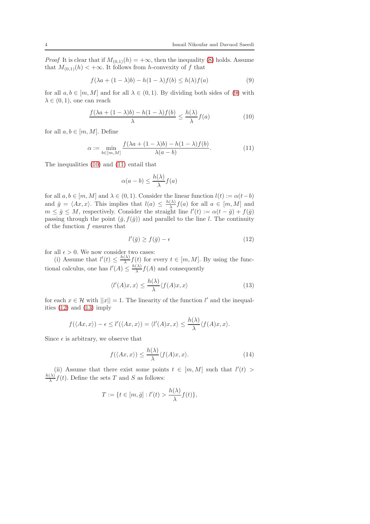*Proof* It is clear that if  $M_{(0,1)}(h) = +\infty$ , then the inequality [\(8\)](#page-2-0) holds. Assume that  $M_{(0,1)}(h) < +\infty$ . It follows from h-convexity of f that

<span id="page-3-0"></span>
$$
f(\lambda a + (1 - \lambda)b) - h(1 - \lambda)f(b) \le h(\lambda)f(a)
$$
\n(9)

for all  $a, b \in [m, M]$  and for all  $\lambda \in (0, 1)$ . By dividing both sides of [\(9\)](#page-3-0) with  $\lambda \in (0, 1)$ , one can reach

<span id="page-3-1"></span>
$$
\frac{f(\lambda a + (1 - \lambda)b) - h(1 - \lambda)f(b)}{\lambda} \le \frac{h(\lambda)}{\lambda}f(a)
$$
 (10)

for all  $a, b \in [m, M]$ . Define

<span id="page-3-2"></span>
$$
\alpha := \min_{b \in [m,M]} \frac{f(\lambda a + (1 - \lambda)b) - h(1 - \lambda)f(b)}{\lambda(a - b)}.
$$
\n(11)

The inequalities [\(10\)](#page-3-1) and [\(11\)](#page-3-2) entail that

$$
\alpha(a-b) \le \frac{h(\lambda)}{\lambda} f(a)
$$

for all  $a, b \in [m, M]$  and  $\lambda \in (0, 1)$ . Consider the linear function  $l(t) := \alpha(t - b)$ and  $\bar{g} = \langle Ax, x \rangle$ . This implies that  $l(a) \leq \frac{h(\lambda)}{\lambda}$  $\frac{(\lambda)}{\lambda} f(a)$  for all  $a \in [m, M]$  and  $m \leq \bar{g} \leq M$ , respectively. Consider the straight line  $l'(t) := \alpha(t - \bar{g}) + f(\bar{g})$ passing through the point  $(\bar{g}, f(\bar{g}))$  and parallel to the line l. The continuity of the function  $f$  ensures that

<span id="page-3-3"></span>
$$
l'(\bar{g}) \ge f(\bar{g}) - \epsilon \tag{12}
$$

for all  $\epsilon > 0$ . We now consider two cases:

(i) Assume that  $l'(t) \leq \frac{h(\lambda)}{\lambda}$  $\frac{(\lambda)}{\lambda} f(t)$  for every  $t \in [m, M]$ . By using the functional calculus, one has  $l'(A) \leq \frac{h(\lambda)}{\lambda}$  $\frac{(\lambda)}{\lambda} f(A)$  and consequently

<span id="page-3-4"></span>
$$
\langle l'(A)x, x \rangle \le \frac{h(\lambda)}{\lambda} \langle f(A)x, x \rangle \tag{13}
$$

for each  $x \in \mathcal{H}$  with  $||x|| = 1$ . The linearity of the function l' and the inequalities [\(12\)](#page-3-3) and [\(13\)](#page-3-4) imply

$$
f(\langle Ax, x \rangle) - \epsilon \le l'(\langle Ax, x \rangle) = \langle l'(A)x, x \rangle \le \frac{h(\lambda)}{\lambda} \langle f(A)x, x \rangle.
$$

Since  $\epsilon$  is arbitrary, we observe that

<span id="page-3-5"></span>
$$
f(\langle Ax, x \rangle) \le \frac{h(\lambda)}{\lambda} \langle f(A)x, x \rangle.
$$
 (14)

(ii) Assume that there exist some points  $t \in [m, M]$  such that  $l'(t)$  $h(\lambda)$  $\frac{(\lambda)}{\lambda} f(t)$ . Define the sets T and S as follows:

$$
T := \{ t \in [m, \bar{g}] : l'(t) > \frac{h(\lambda)}{\lambda} f(t) \},
$$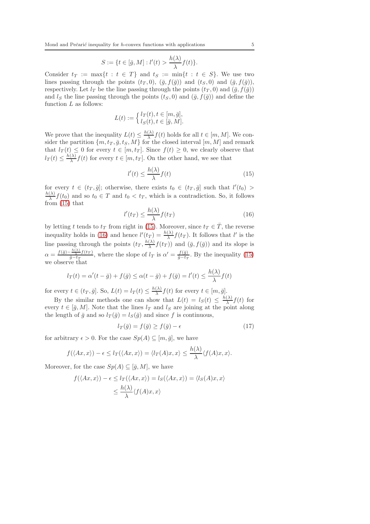Mond and Pe $\check{c}$ ari $\acute{c}$  inequality for *h*-convex functions with applications  $5$ 

$$
S := \{ t \in [\bar{g}, M] : l'(t) > \frac{h(\lambda)}{\lambda} f(t) \}.
$$

Consider  $t_T := \max\{t : t \in T\}$  and  $t_S := \min\{t : t \in S\}$ . We use two lines passing through the points  $(t_T, 0)$ ,  $(\bar{g}, f(\bar{g}))$  and  $(t_S, 0)$  and  $(\bar{g}, f(\bar{g}))$ , respectively. Let  $l_T$  be the line passing through the points  $(t_T, 0)$  and  $(\bar{g}, f(\bar{g}))$ and  $l_S$  the line passing through the points  $(t_S, 0)$  and  $(\bar{g}, f(\bar{g}))$  and define the function  $L$  as follows:

$$
L(t) := \begin{cases} l_T(t), t \in [m, \bar{g}], \\ l_S(t), t \in [\bar{g}, M]. \end{cases}
$$

We prove that the inequality  $L(t) \leq \frac{h(\lambda)}{\lambda}$  $\frac{(\lambda)}{\lambda} f(t)$  holds for all  $t \in [m, M]$ . We consider the partition  $\{m, t_T, \bar{g}, t_S, M\}$  for the closed interval  $[m, M]$  and remark that  $l_T(t) \leq 0$  for every  $t \in [m, t_T]$ . Since  $f(t) \geq 0$ , we clearly observe that  $l_T(t) \leq \frac{h(\lambda)}{\lambda}$  $\frac{\Delta x}{\lambda} f(t)$  for every  $t \in [m, t_T]$ . On the other hand, we see that

<span id="page-4-0"></span>
$$
l'(t) \le \frac{h(\lambda)}{\lambda} f(t) \tag{15}
$$

for every  $t \in (t_T, \bar{g}]$ ; otherwise, there exists  $t_0 \in (t_T, \bar{g}]$  such that  $l'(t_0) >$  $h(\lambda)$  $\frac{(\lambda)}{\lambda} f(t_0)$  and so  $t_0 \in T$  and  $t_0 < t_T$ , which is a contradiction. So, it follows from  $(15)$  that

<span id="page-4-1"></span>
$$
l'(t_T) \le \frac{h(\lambda)}{\lambda} f(t_T) \tag{16}
$$

by letting t tends to  $t_T$  from right in [\(15\)](#page-4-0). Moreover, since  $t_T \in \overline{T}$ , the reverse inequality holds in [\(16\)](#page-4-1) and hence  $l'(t_T) = \frac{h(\lambda)}{\lambda} f(t_T)$ . It follows that l' is the line passing through the points  $(t_T, \frac{h(\lambda)}{\lambda})$  $\frac{(\lambda)}{\lambda} f(t_T)$  and  $(\bar{g}, f(\bar{g}))$  and its slope is  $\alpha = \frac{f(\bar{g}) - \frac{h(\lambda)}{\lambda} f(t_T)}{\bar{g} - t_T}$  $\frac{\frac{r(x)}{A}f(t)}{\bar{g}-t_T}$ , where the slope of  $l_T$  is  $\alpha' = \frac{f(\bar{g})}{\bar{g}-t_T}$  $\frac{f(g)}{\bar{g}-t_T}$ . By the inequality [\(15\)](#page-4-0) we observe that

$$
l_T(t) = \alpha'(t - \bar{g}) + f(\bar{g}) \le \alpha(t - \bar{g}) + f(\bar{g}) = l'(t) \le \frac{h(\lambda)}{\lambda} f(t)
$$

for every  $t \in (t_T, \bar{g}]$ . So,  $L(t) = l_T(t) \leq \frac{h(\lambda)}{\lambda}$  $\frac{(\lambda)}{\lambda} f(t)$  for every  $t \in [m, \bar{g}]$ .

By the similar methods one can show that  $L(t) = l_S(t) \leq \frac{h(\lambda)}{\lambda}$  $\frac{(\lambda)}{\lambda}f(t)$  for every  $t \in [\bar{g}, M]$ . Note that the lines  $l_T$  and  $l_S$  are joining at the point along the length of  $\bar{g}$  and so  $l_T(\bar{g}) = l_S(\bar{g})$  and since f is continuous,

$$
l_T(\bar{g}) = f(\bar{g}) \ge f(\bar{g}) - \epsilon \tag{17}
$$

for arbitrary  $\epsilon > 0$ . For the case  $Sp(A) \subseteq [m, \bar{g}]$ , we have

$$
f(\langle Ax, x \rangle) - \epsilon \le l_T(\langle Ax, x \rangle) = \langle l_T(A)x, x \rangle \le \frac{h(\lambda)}{\lambda} \langle f(A)x, x \rangle.
$$

Moreover, for the case  $Sp(A) \subseteq [\bar{g}, M]$ , we have

$$
f(\langle Ax, x \rangle) - \epsilon \leq l_T(\langle Ax, x \rangle) = l_S(\langle Ax, x \rangle) = \langle l_S(A)x, x \rangle
$$
  

$$
\leq \frac{h(\lambda)}{\lambda} \langle f(A)x, x \rangle
$$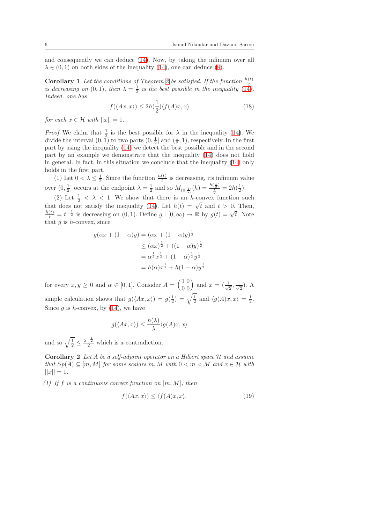and consequently we can deduce [\(14\)](#page-3-5). Now, by taking the infimum over all  $\lambda \in (0,1)$  on both sides of the inequality [\(14\)](#page-3-5), one can deduce [\(8\)](#page-2-0).

<span id="page-5-0"></span>**Corollary 1** Let the conditions of Theorem [2](#page-2-1) be satisfied. If the function  $\frac{h(t)}{t}$ is decreasing on (0,1), then  $\lambda = \frac{1}{2}$  is the best possible in the inequality [\(14\)](#page-3-5). Indeed, one has

$$
f(\langle Ax, x \rangle) \le 2h(\frac{1}{2}) \langle f(A)x, x \rangle \tag{18}
$$

for each  $x \in \mathcal{H}$  with  $||x|| = 1$ .

*Proof* We claim that  $\frac{1}{2}$  is the best possible for  $\lambda$  in the inequality [\(14\)](#page-3-5). We divide the interval  $(0, \overline{1})$  to two parts  $(0, \frac{1}{2}]$  and  $(\frac{1}{2}, 1)$ , respectively. In the first part by using the inequality [\(14\)](#page-3-5) we detect the best possible and in the second part by an example we demonstrate that the inequality [\(14\)](#page-3-5) does not hold in general. In fact, in this situation we conclude that the inequality [\(14\)](#page-3-5) only holds in the first part.

(1) Let  $0 < \lambda \leq \frac{1}{2}$ . Since the function  $\frac{h(t)}{t}$  is decreasing, its infimum value over  $(0, \frac{1}{2}]$  occurs at the endpoint  $\lambda = \frac{1}{2}$  and so  $M_{(0, \frac{1}{2}]}(h) = \frac{h(\frac{1}{2})}{\frac{1}{2}} = 2h(\frac{1}{2})$ .

(2) Let  $\frac{1}{2} < \lambda < 1$ . We show that there is an h-convex function such that does not satisfy the inequality [\(14\)](#page-3-5). Let  $h(t) = \sqrt{t}$  and  $t > 0$ . Then,  $\frac{h(t)}{t} = t^{-\frac{1}{2}}$  is decreasing on (0,1). Define  $g : [0, \infty) \to \mathbb{R}$  by  $g(t) = \sqrt{t}$ . Note that  $q$  is  $h$ -convex, since

$$
g(\alpha x + (1 - \alpha)y) = (\alpha x + (1 - \alpha)y)^{\frac{1}{2}}
$$
  
\n
$$
\leq (\alpha x)^{\frac{1}{2}} + ((1 - \alpha)y)^{\frac{1}{2}}
$$
  
\n
$$
= \alpha^{\frac{1}{2}} x^{\frac{1}{2}} + (1 - \alpha)^{\frac{1}{2}} y^{\frac{1}{2}}
$$
  
\n
$$
= h(\alpha)x^{\frac{1}{2}} + h(1 - \alpha)y^{\frac{1}{2}}
$$

for every  $x, y \ge 0$  and  $\alpha \in [0, 1]$ . Consider  $A = \begin{pmatrix} 1 & 0 \\ 0 & 0 \end{pmatrix}$  and  $x = \begin{pmatrix} 1 & 0 \\ \sqrt{2} & \sqrt{2} \end{pmatrix}$  $\frac{1}{2}, \frac{1}{\sqrt{2}}$  $\frac{1}{2}$ ). A simple calculation shows that  $g(\langle Ax, x \rangle) = g(\frac{1}{2}) = \sqrt{\frac{1}{2}}$  and  $\langle g(A)x, x \rangle = \frac{1}{2}$ . Since g is h-convex, by  $(14)$ , we have

$$
g(\langle Ax, x \rangle) \le \frac{h(\lambda)}{\lambda} \langle g(A)x, x \rangle
$$

and so  $\sqrt{\frac{1}{2}} \leq \frac{\lambda^{-\frac{1}{2}}}{2}$  which is a contradiction.

Corollary 2 Let  $A$  be a self-adjoint operator on a Hilbert space  $H$  and assume that  $Sp(A) \subseteq [m, M]$  for some scalars m, M with  $0 < m < M$  and  $x \in \mathcal{H}$  with  $||x|| = 1.$ 

(1) If f is a continuous convex function on  $[m, M]$ , then

$$
f(\langle Ax, x \rangle) \le \langle f(A)x, x \rangle.
$$
 (19)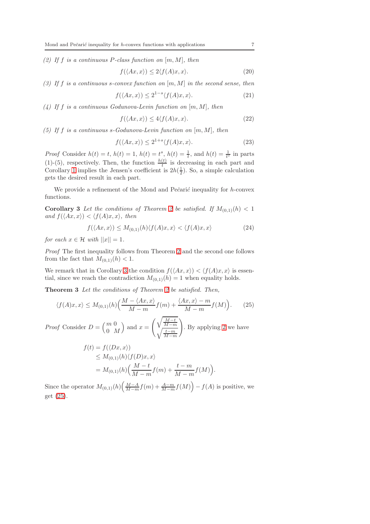(2) If f is a continuous P-class function on  $[m, M]$ , then

$$
f(\langle Ax, x \rangle) \le 2\langle f(A)x, x \rangle.
$$
 (20)

(3) If f is a continuous s-convex function on  $[m, M]$  in the second sense, then

$$
f(\langle Ax, x \rangle) \le 2^{1-s} \langle f(A)x, x \rangle.
$$
 (21)

(4) If f is a continuous Godunova-Levin function on  $[m, M]$ , then

$$
f(\langle Ax, x \rangle) \le 4 \langle f(A)x, x \rangle. \tag{22}
$$

(5) If f is a continuous s-Godunova-Levin function on  $[m, M]$ , then

$$
f(\langle Ax, x \rangle) \le 2^{1+s} \langle f(A)x, x \rangle.
$$
 (23)

*Proof* Consider  $h(t) = t$ ,  $h(t) = 1$ ,  $h(t) = t^s$ ,  $h(t) = \frac{1}{t}$ , and  $h(t) = \frac{1}{t^s}$  in parts (1)-(5), respectively. Then, the function  $\frac{h(t)}{t}$  is decreasing in each part and Corollary [1](#page-5-0) implies the Jensen's coefficient is  $2h(\frac{1}{2})$ . So, a simple calculation gets the desired result in each part.

<span id="page-6-0"></span>We provide a refinement of the Mond and Pe $\check{c}$ ari $\check{c}$  inequality for h-convex functions.

**Corollary 3** Let the conditions of Theorem [2](#page-2-1) be satisfied. If  $M_{(0,1)}(h) < 1$ and  $f(\langle Ax, x \rangle) < \langle f(A)x, x \rangle$ , then

$$
f(\langle Ax, x \rangle) \le M_{(0,1)}(h) \langle f(A)x, x \rangle < \langle f(A)x, x \rangle \tag{24}
$$

for each  $x \in \mathcal{H}$  with  $||x|| = 1$ .

Proof The first inequality follows from Theorem [2](#page-2-1) and the second one follows from the fact that  $M_{(0,1)}(h) < 1$ .

<span id="page-6-2"></span>We remark that in Corollary [3](#page-6-0) the condition  $f(\langle Ax, x \rangle) < \langle f(A)x, x \rangle$  is essential, since we reach the contradiction  $M_{(0,1)}(h) = 1$  when equality holds.

Theorem 3 Let the conditions of Theorem [2](#page-2-1) be satisfied. Then,

<span id="page-6-1"></span>
$$
\langle f(A)x, x \rangle \le M_{(0,1)}(h) \Big( \frac{M - \langle Ax, x \rangle}{M - m} f(m) + \frac{\langle Ax, x \rangle - m}{M - m} f(M) \Big). \tag{25}
$$

*Proof* Consider  $D = \begin{pmatrix} m & 0 \\ 0 & 1 \end{pmatrix}$ 0 M ) and  $x =$  $\int \sqrt{\frac{M-t}{M-x}}$  $\frac{1}{2}$  $M-m$  $\frac{t-m}{M-m}$  $\setminus$ . By applying [2](#page-2-1) we have

$$
f(t) = f(\langle Dx, x \rangle)
$$
  
\n
$$
\leq M_{(0,1)}(h) \langle f(D)x, x \rangle
$$
  
\n
$$
= M_{(0,1)}(h) \Big( \frac{M-t}{M-m} f(m) + \frac{t-m}{M-m} f(M) \Big)
$$

.

<span id="page-6-3"></span>Since the operator  $M_{(0,1)}(h) \left( \frac{M-A}{M-m} f(m) + \frac{A-m}{M-m} f(M) \right) - f(A)$  is positive, we get [\(25\)](#page-6-1).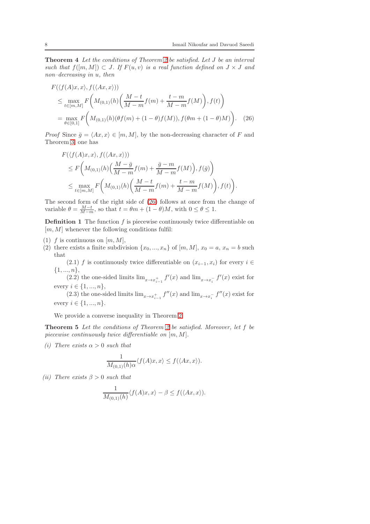Theorem 4 Let the conditions of Theorem [2](#page-2-1) be satisfied. Let J be an interval such that  $f([m, M]) \subset J$ . If  $F(u, v)$  is a real function defined on  $J \times J$  and non–decreasing in u, then

$$
F(\langle f(A)x, x \rangle, f(\langle Ax, x \rangle))
$$
  
\n
$$
\leq \max_{t \in [m, M]} F\left(M_{(0,1)}(h) \left(\frac{M-t}{M-m} f(m) + \frac{t-m}{M-m} f(M)\right), f(t)\right)
$$
  
\n
$$
= \max_{\theta \in [0,1]} F\left(M_{(0,1)}(h) (\theta f(m) + (1-\theta) f(M)), f(\theta m + (1-\theta) M)\right). (26)
$$

*Proof* Since  $\bar{g} = \langle Ax, x \rangle \in [m, M]$ , by the non-decreasing character of F and Theorem [3,](#page-6-2) one has

<span id="page-7-0"></span>
$$
F(\langle f(A)x, x \rangle, f(\langle Ax, x \rangle))
$$
  
\n
$$
\leq F\left(M_{(0,1)}(h)\left(\frac{M-\bar{g}}{M-m}f(m) + \frac{\bar{g}-m}{M-m}f(M)\right), f(\bar{g})\right)
$$
  
\n
$$
\leq \max_{t \in [m,M]} F\left(M_{(0,1)}(h)\left(\frac{M-t}{M-m}f(m) + \frac{t-m}{M-m}f(M)\right), f(t)\right).
$$

The second form of the right side of [\(26\)](#page-7-0) follows at once from the change of variable  $\theta = \frac{M-t}{M-m}$ , so that  $t = \theta m + (1 - \theta)M$ , with  $0 \le \theta \le 1$ .

<span id="page-7-1"></span>**Definition 1** The function  $f$  is piecewise continuously twice differentiable on  $[m, M]$  whenever the following conditions fulfil:

- (1) f is continuous on  $[m, M]$ ,
- (2) there exists a finite subdivision  $\{x_0, ..., x_n\}$  of  $[m, M], x_0 = a, x_n = b$  such that

(2.1) f is continuously twice differentiable on  $(x_{i-1}, x_i)$  for every  $i \in$  $\{1, ..., n\},\$ 

(2.2) the one-sided limits  $\lim_{x \to x_{i-1}^+} f'(x)$  and  $\lim_{x \to x_i^-} f'(x)$  exist for every  $i \in \{1, ..., n\},\$ 

(2.3) the one-sided limits  $\lim_{x \to x_{i-1}^+} f''(x)$  and  $\lim_{x \to x_i^-} f''(x)$  exist for every  $i \in \{1, ..., n\}$ .

We provide a converse inequality in Theorem [2.](#page-2-1)

Theorem 5 Let the conditions of Theorem [2](#page-2-1) be satisfied. Moreover, let f be piecewise continuously twice differentiable on  $[m, M]$ .

(i) There exists  $\alpha > 0$  such that

<span id="page-7-2"></span>
$$
\frac{1}{M_{(0,1)}(h)\alpha} \langle f(A)x, x \rangle \le f(\langle Ax, x \rangle).
$$

(ii) There exists  $\beta > 0$  such that

$$
\frac{1}{M_{(0,1)}(h)} \langle f(A)x, x \rangle - \beta \le f(\langle Ax, x \rangle).
$$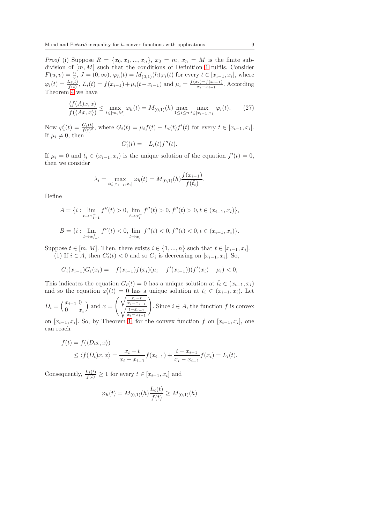*Proof* (i) Suppose  $R = \{x_0, x_1, ..., x_n\}, x_0 = m, x_n = M$  is the finite subdivision of  $[m, M]$  such that the conditions of Definition [1](#page-7-1) fulfils. Consider  $F(u, v) = \frac{u}{v}, J = (0, \infty), \varphi_h(t) = M_{(0,1)}(h)\varphi_i(t)$  for every  $t \in [x_{i-1}, x_i]$ , where  $\varphi_i(t) = \frac{L_i(t)}{f(t)}$ ,  $L_i(t) = f(x_{i-1}) + \mu_i(t-x_{i-1})$  and  $\mu_i = \frac{f(x_i) - f(x_{i-1})}{x_i - x_{i-1}}$  $\frac{x_i - y(x_{i-1})}{x_i - x_{i-1}}$ . According Theorem [4](#page-6-3) we have

$$
\frac{\langle f(A)x, x \rangle}{f(\langle Ax, x \rangle)} \le \max_{t \in [m, M]} \varphi_h(t) = M_{(0, 1)}(h) \max_{1 \le i \le n} \max_{t \in [x_{i-1}, x_i]} \varphi_i(t). \tag{27}
$$

Now  $\varphi_i'(t) = \frac{G_i(t)}{f(t)^2}$ , where  $G_i(t) = \mu_i f(t) - L_i(t) f'(t)$  for every  $t \in [x_{i-1}, x_i]$ . If  $\mu_i \neq 0$ , then

<span id="page-8-0"></span>
$$
G_i'(t) = -L_i(t)f''(t).
$$

If  $\mu_i = 0$  and  $\bar{t}_i \in (x_{i-1}, x_i)$  is the unique solution of the equation  $f'(t) = 0$ , then we consider

$$
\lambda_i = \max_{t \in [x_{i-1}, x_i]} \varphi_h(t) = M_{(0,1)}(h) \frac{f(x_{i-1})}{f(\bar{t}_i)}.
$$

Define

$$
A = \{i : \lim_{t \to x_{i-1}^+} f''(t) > 0, \lim_{t \to x_i^-} f''(t) > 0, f''(t) > 0, t \in (x_{i-1}, x_i)\},\
$$
  

$$
B = \{i : \lim_{t \to x_{i-1}^+} f''(t) < 0, \lim_{t \to x_i^-} f''(t) < 0, f''(t) < 0, t \in (x_{i-1}, x_i)\}.
$$

Suppose  $t \in [m, M]$ . Then, there exists  $i \in \{1, ..., n\}$  such that  $t \in [x_{i-1}, x_i]$ .

(1) If  $i \in A$ , then  $G'_i(t) < 0$  and so  $G_i$  is decreasing on  $[x_{i-1}, x_i]$ . So,

$$
G_i(x_{i-1})G_i(x_i) = -f(x_{i-1})f(x_i)(\mu_i - f'(x_{i-1}))(f'(x_i) - \mu_i) < 0,
$$

This indicates the equation  $G_i(t) = 0$  has a unique solution at  $\bar{t}_i \in (x_{i-1}, x_i)$ and so the equation  $\varphi'_i(t) = 0$  has a unique solution at  $\bar{t}_i \in (x_{i-1}, x_i)$ . Let  $D_i = \left(\begin{array}{cc} x_{i-1} & 0 \\ 0 & x_{i-1} \end{array}\right)$  $0 \quad x_i$ ) and  $x =$  $\int \sqrt{\frac{x_i-t}{x_i-x_i}}$  $\sqrt{\frac{x_i-x_{i-1}}{t-x_{i-1}}}$  $x_i-x_{i-1}$  $\setminus$ . Since  $i \in A$ , the function f is convex

on  $[x_{i-1}, x_i]$ . So, by Theorem [1,](#page-2-2) for the convex function f on  $[x_{i-1}, x_i]$ , one can reach

$$
f(t) = f(\langle D_i x, x \rangle)
$$
  
 
$$
\leq \langle f(D_i)x, x \rangle = \frac{x_i - t}{x_i - x_{i-1}} f(x_{i-1}) + \frac{t - x_{i-1}}{x_i - x_{i-1}} f(x_i) = L_i(t).
$$

Consequently,  $\frac{L_i(t)}{f(t)} \geq 1$  for every  $t \in [x_{i-1}, x_i]$  and

$$
\varphi_h(t) = M_{(0,1)}(h) \frac{L_i(t)}{f(t)} \ge M_{(0,1)}(h)
$$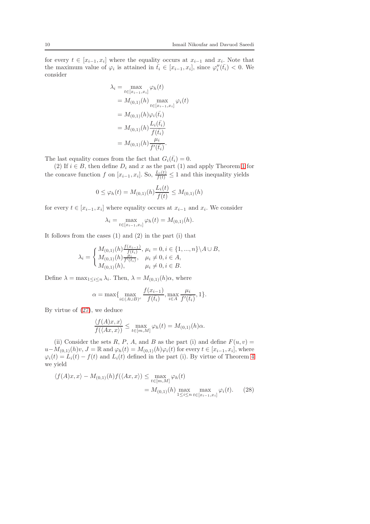for every  $t \in [x_{i-1}, x_i]$  where the equality occurs at  $x_{i-1}$  and  $x_i$ . Note that the maximum value of  $\varphi_i$  is attained in  $\bar{t}_i \in [x_{i-1}, x_i]$ , since  $\varphi''_i(\bar{t}_i) < 0$ . We consider

$$
\lambda_i = \max_{t \in [x_{i-1}, x_i]} \varphi_h(t)
$$
  
=  $M_{(0,1)}(h) \max_{t \in [x_{i-1}, x_i]} \varphi_i(t)$   
=  $M_{(0,1)}(h) \varphi_i(t_i)$   
=  $M_{(0,1)}(h) \frac{L_i(t_i)}{f(t_i)}$   
=  $M_{(0,1)}(h) \frac{\mu_i}{f'(t_i)}$ .

The last equality comes from the fact that  $G_i(\bar{t}_i) = 0$ .

(2) If  $i \in B$ , then define  $D_i$  and x as the part (1) and apply Theorem [1](#page-2-2) for the concave function f on  $[x_{i-1}, x_i]$ . So,  $\frac{L_i(t)}{f(t)} \leq 1$  and this inequality yields

$$
0 \le \varphi_h(t) = M_{(0,1)}(h) \frac{L_i(t)}{f(t)} \le M_{(0,1)}(h)
$$

for every  $t \in [x_{i-1}, x_i]$  where equality occurs at  $x_{i-1}$  and  $x_i$ . We consider

$$
\lambda_i = \max_{t \in [x_{i-1}, x_i]} \varphi_h(t) = M_{(0,1)}(h).
$$

It follows from the cases (1) and (2) in the part (i) that

$$
\lambda_i = \begin{cases} M_{(0,1)}(h) \frac{f(x_{i-1})}{f(t_i)}, \ \mu_i = 0, i \in \{1, ..., n\} \backslash A \cup B, \\ M_{(0,1)}(h) \frac{\mu_i}{f'(t_i)}, \quad \mu_i \neq 0, i \in A, \\ M_{(0,1)}(h), \qquad \mu_i \neq 0, i \in B. \end{cases}
$$

Define  $\lambda = \max_{1 \leq i \leq n} \lambda_i$ . Then,  $\lambda = M_{(0,1)}(h)\alpha$ , where

$$
\alpha = \max\{\max_{i \in (A \cup B)^c} \frac{f(x_{i-1})}{f(\bar{t}_i)}, \max_{i \in A} \frac{\mu_i}{f'(\bar{t}_i)}, 1\}.
$$

By virtue of [\(27\)](#page-8-0), we deduce

<span id="page-9-0"></span>
$$
\frac{\langle f(A)x, x \rangle}{f(\langle Ax, x \rangle)} \le \max_{t \in [m, M]} \varphi_h(t) = M_{(0,1)}(h)\alpha.
$$

(ii) Consider the sets R, P, A, and B as the part (i) and define  $F(u, v) =$  $u-M_{(0,1)}(h)v, J=\mathbb{R}$  and  $\varphi_h(t)=M_{(0,1)}(h)\varphi_i(t)$  for every  $t\in [x_{i-1},x_i]$ , where  $\varphi_i(t) = L_i(t) - f(t)$  and  $L_i(t)$  defined in the part (i). By virtue of Theorem [4](#page-6-3) we yield

$$
\langle f(A)x, x \rangle - M_{(0,1)}(h) f(\langle Ax, x \rangle) \le \max_{t \in [m,M]} \varphi_h(t)
$$
  
=  $M_{(0,1)}(h) \max_{1 \le i \le n} \max_{t \in [x_{i-1}, x_i]} \varphi_i(t).$  (28)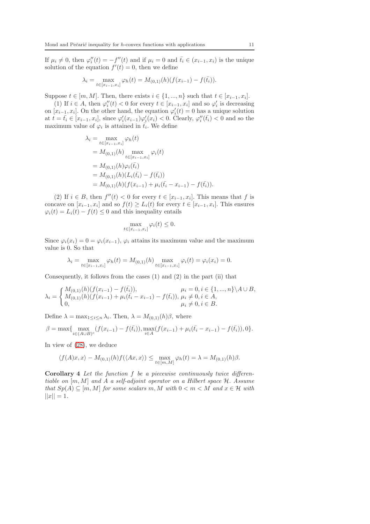If  $\mu_i \neq 0$ , then  $\varphi''_i(t) = -f''(t)$  and if  $\mu_i = 0$  and  $\bar{t}_i \in (x_{i-1}, x_i)$  is the unique solution of the equation  $f'(t) = 0$ , then we define

$$
\lambda_i = \max_{t \in [x_{i-1}, x_i]} \varphi_h(t) = M_{(0,1)}(h)(f(x_{i-1}) - f(\bar{t}_i)).
$$

Suppose  $t \in [m, M]$ . Then, there exists  $i \in \{1, ..., n\}$  such that  $t \in [x_{i-1}, x_i]$ .

(1) If  $i \in A$ , then  $\varphi''_i(t) < 0$  for every  $t \in [x_{i-1}, x_i]$  and so  $\varphi'_i$  is decreasing on  $[x_{i-1}, x_i]$ . On the other hand, the equation  $\varphi'_i(t) = 0$  has a unique solution at  $t = \bar{t}_i \in [x_{i-1}, x_i]$ , since  $\varphi'_i(x_{i-1})\varphi'_i(x_i) < 0$ . Clearly,  $\varphi''_i(\bar{t}_i) < 0$  and so the maximum value of  $\varphi_i$  is attained in  $\bar{t}_i$ . We define

$$
\lambda_i = \max_{t \in [x_{i-1}, x_i]} \varphi_h(t)
$$
  
=  $M_{(0,1)}(h) \max_{t \in [x_{i-1}, x_i]} \varphi_i(t)$   
=  $M_{(0,1)}(h) \varphi_i(\bar{t}_i)$   
=  $M_{(0,1)}(h) (L_i(\bar{t}_i) - f(\bar{t}_i))$   
=  $M_{(0,1)}(h) (f(x_{i-1}) + \mu_i(\bar{t}_i - x_{i-1}) - f(\bar{t}_i)).$ 

(2) If  $i \in B$ , then  $f''(t) < 0$  for every  $t \in [x_{i-1}, x_i]$ . This means that f is concave on  $[x_{i-1}, x_i]$  and so  $f(t) \geq L_i(t)$  for every  $t \in [x_{i-1}, x_i]$ . This ensures  $\varphi_i(t) = L_i(t) - f(t) \leq 0$  and this inequality entails

$$
\max_{t \in [x_{i-1}, x_i]} \varphi_i(t) \le 0.
$$

Since  $\varphi_i(x_i) = 0 = \varphi_i(x_{i-1}), \varphi_i$  attains its maximum value and the maximum value is 0. So that

$$
\lambda_i = \max_{t \in [x_{i-1}, x_i]} \varphi_h(t) = M_{(0,1)}(h) \max_{t \in [x_{i-1}, x_i]} \varphi_i(t) = \varphi_i(x_i) = 0.
$$

Consequently, it follows from the cases (1) and (2) in the part (ii) that

$$
\lambda_i = \begin{cases} M_{(0,1)}(h)(f(x_{i-1}) - f(\bar{t}_i)), & \mu_i = 0, i \in \{1, ..., n\} \backslash A \cup B, \\ M_{(0,1)}(h)(f(x_{i-1}) + \mu_i(\bar{t}_i - x_{i-1}) - f(\bar{t}_i)), & \mu_i \neq 0, i \in A, \\ 0, & \mu_i \neq 0, i \in B. \end{cases}
$$

Define  $\lambda = \max_{1 \leq i \leq n} \lambda_i$ . Then,  $\lambda = M_{(0,1)}(h)\beta$ , where

$$
\beta = \max\{\max_{i \in (A \cup B)^c} (f(x_{i-1}) - f(\bar{t}_i)), \max_{i \in A} (f(x_{i-1}) + \mu_i(\bar{t}_i - x_{i-1}) - f(\bar{t}_i)), 0\}.
$$

In view of [\(28\)](#page-9-0), we deduce

$$
\langle f(A)x, x \rangle - M_{(0,1)}(h) f(\langle Ax, x \rangle) \le \max_{t \in [m,M]} \varphi_h(t) = \lambda = M_{(0,1)}(h)\beta.
$$

Corollary 4 Let the function f be a piecewise continuously twice differentiable on  $[m, M]$  and A a self-adjoint operator on a Hilbert space  $H$ . Assume that  $Sp(A) \subseteq [m, M]$  for some scalars m, M with  $0 < m < M$  and  $x \in \mathcal{H}$  with  $||x|| = 1.$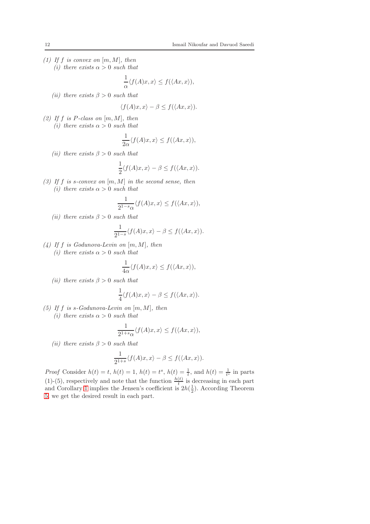- (1) If  $f$  is convex on  $[m, M]$ , then
	- (i) there exists  $\alpha > 0$  such that

$$
\frac{1}{\alpha}\langle f(A)x, x \rangle \le f(\langle Ax, x \rangle),
$$

(ii) there exists  $\beta > 0$  such that

$$
\langle f(A)x, x \rangle - \beta \le f(\langle Ax, x \rangle).
$$

(2) If  $f$  is  $P$ -class on  $[m, M]$ , then (i) there exists  $\alpha > 0$  such that

$$
\frac{1}{2\alpha}\langle f(A)x, x \rangle \le f(\langle Ax, x \rangle),
$$

(ii) there exists  $\beta > 0$  such that

$$
\frac{1}{2}\langle f(A)x, x\rangle - \beta \le f(\langle Ax, x\rangle).
$$

(3) If f is s-convex on  $[m, M]$  in the second sense, then (i) there exists  $\alpha > 0$  such that

$$
\frac{1}{2^{1-s}\alpha} \langle f(A)x, x \rangle \le f(\langle Ax, x \rangle),
$$

(ii) there exists  $\beta > 0$  such that

$$
\frac{1}{2^{1-s}} \langle f(A)x, x \rangle - \beta \le f(\langle Ax, x \rangle).
$$

- (4) If f is Godunova-Levin on  $[m, M]$ , then
	- (i) there exists  $\alpha > 0$  such that

$$
\frac{1}{4\alpha} \langle f(A)x, x \rangle \le f(\langle Ax, x \rangle),
$$

(ii) there exists  $\beta > 0$  such that

$$
\frac{1}{4}\langle f(A)x, x\rangle - \beta \le f(\langle Ax, x\rangle).
$$

(5) If f is s-Godunova-Levin on  $[m, M]$ , then (i) there exists  $\alpha > 0$  such that

$$
\frac{1}{2^{1+s}\alpha} \langle f(A)x, x \rangle \le f(\langle Ax, x \rangle),
$$

(ii) there exists  $\beta > 0$  such that

$$
\frac{1}{2^{1+s}} \langle f(A)x, x \rangle - \beta \le f(\langle Ax, x \rangle).
$$

*Proof* Consider  $h(t) = t$ ,  $h(t) = 1$ ,  $h(t) = t^s$ ,  $h(t) = \frac{1}{t}$ , and  $h(t) = \frac{1}{t^s}$  in parts (1)-(5), respectively and note that the function  $\frac{h(t)}{t}$  is decreasing in each part and Corollary [1](#page-5-0) implies the Jensen's coefficient is  $2h(\frac{1}{2})$ . According Theorem [5,](#page-7-2) we get the desired result in each part.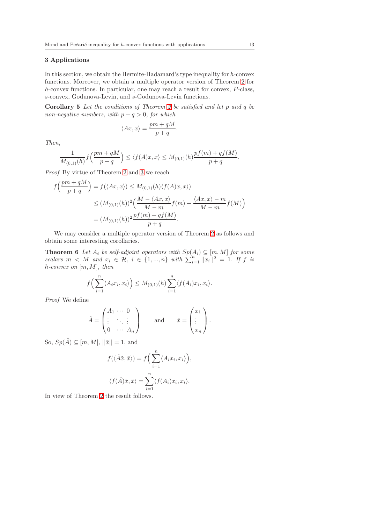# 3 Applications

In this section, we obtain the Hermite-Hadamard's type inequality for  $h$ -convex functions. Moreover, we obtain a multiple operator version of Theorem [2](#page-2-1) for h-convex functions. In particular, one may reach a result for convex, P-class, s-convex, Godunova-Levin, and s-Godunova-Levin functions.

Corollary 5 Let the conditions of Theorem [2](#page-2-1) be satisfied and let p and q be non-negative numbers, with  $p + q > 0$ , for which

$$
\langle Ax, x \rangle = \frac{pm + qM}{p + q}.
$$

Then,

$$
\frac{1}{M_{(0,1)}(h)} f\left(\frac{pm+qM}{p+q}\right) \le \langle f(A)x, x \rangle \le M_{(0,1)}(h) \frac{pf(m)+qf(M)}{p+q}.
$$

Proof By virtue of Theorem [2](#page-2-1) and [3](#page-6-2) we reach

$$
f\left(\frac{pm+qM}{p+q}\right) = f(\langle Ax, x \rangle) \le M_{(0,1)}(h)\langle f(A)x, x \rangle)
$$
  
\n
$$
\le (M_{(0,1)}(h))^2 \left(\frac{M - \langle Ax, x \rangle}{M-m} f(m) + \frac{\langle Ax, x \rangle - m}{M-m} f(M)\right)
$$
  
\n
$$
= (M_{(0,1)}(h))^2 \frac{pf(m) + qf(M)}{p+q}.
$$

<span id="page-12-0"></span>We may consider a multiple operator version of Theorem [2](#page-2-1) as follows and obtain some interesting corollaries.

**Theorem 6** Let  $A_i$  be self-adjoint operators with  $Sp(A_i) \subseteq [m, M]$  for some scalars  $m < M$  and  $x_i \in \mathcal{H}$ ,  $i \in \{1, ..., n\}$  with  $\sum_{i=1}^{n} ||x_i||^2 = 1$ . If f is  $h\text{-}convex$  on  $[m, M]$ , then

$$
f\left(\sum_{i=1}^n \langle A_i x_i, x_i \rangle\right) \leq M_{(0,1)}(h) \sum_{i=1}^n \langle f(A_i) x_i, x_i \rangle.
$$

Proof We define

$$
\tilde{A} = \begin{pmatrix} A_1 & \cdots & 0 \\ \vdots & \ddots & \vdots \\ 0 & \cdots & A_n \end{pmatrix} \quad \text{and} \quad \tilde{x} = \begin{pmatrix} x_1 \\ \vdots \\ x_n \end{pmatrix}.
$$

So,  $Sp(\tilde{A}) \subseteq [m, M], ||\tilde{x}|| = 1$ , and

$$
f(\langle \tilde{A}\tilde{x}, \tilde{x} \rangle) = f\Big(\sum_{i=1}^{n} \langle A_i x_i, x_i \rangle \Big),
$$
  

$$
\langle f(\tilde{A})\tilde{x}, \tilde{x} \rangle = \sum_{i=1}^{n} \langle f(A_i) x_i, x_i \rangle.
$$

In view of Theorem [2](#page-2-1) the result follows.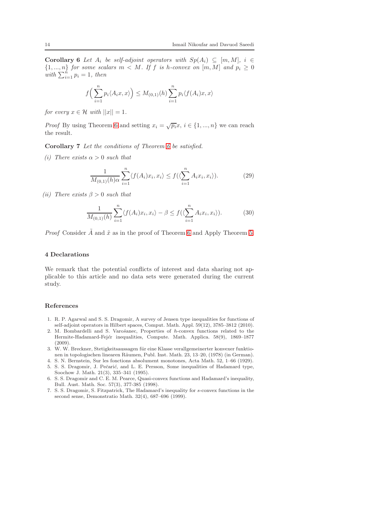Corollary 6 Let  $A_i$  be self-adjoint operators with  $Sp(A_i) \subseteq [m, M], i \in$  $\{1, ..., n\}$  for some scalars  $m < M$ . If f is h-convex on  $[m, M]$  and  $p_i \geq 0$ with  $\sum_{i=1}^{n} p_i = 1$ , then

$$
f\left(\sum_{i=1}^n p_i \langle A_i x, x \rangle\right) \le M_{(0,1)}(h) \sum_{i=1}^n p_i \langle f(A_i) x, x \rangle
$$

for every  $x \in \mathcal{H}$  with  $||x|| = 1$ .

*Proof* By using Theorem [6](#page-12-0) and setting  $x_i = \sqrt{p_i}x$ ,  $i \in \{1, ..., n\}$  we can reach the result.

Corollary 7 Let the conditions of Theorem [6](#page-12-0) be satisfied.

(i) There exists  $\alpha > 0$  such that

$$
\frac{1}{M_{(0,1)}(h)\alpha} \sum_{i=1}^{n} \langle f(A_i)x_i, x_i \rangle \le f(\langle \sum_{i=1}^{n} A_i x_i, x_i \rangle).
$$
 (29)

(ii) There exists  $\beta > 0$  such that

$$
\frac{1}{M_{(0,1)}(h)}\sum_{i=1}^{n}\langle f(A_i)x_i,x_i\rangle - \beta \le f(\langle \sum_{i=1}^{n}A_ix_i,x_i\rangle). \tag{30}
$$

*Proof* Consider  $\tilde{A}$  and  $\tilde{x}$  as in the proof of Theorem [6](#page-12-0) and Apply Theorem [5.](#page-7-2)

#### 4 Declarations

We remark that the potential conflicts of interest and data sharing not applicable to this article and no data sets were generated during the current study.

## References

- 1. R. P. Agarwal and S. S. Dragomir, A survey of Jensen type inequalities for functions of self-adjoint operators in Hilbert spaces, Comput. Math. Appl. 59(12), 3785–3812 (2010).
- <span id="page-13-4"></span>2. M. Bombardelli and S. Varošanec, Properties of h-convex functions related to the Hermite-Hadamard-Fejér inequalities, Compute. Math. Applica. 58(9), 1869-1877  $(2009)$
- <span id="page-13-0"></span>3. W. W. Breckner, Stetigkeitsaussagen für eine Klasse verallgemeinerter konvexer funktionen in topologischen linearen R¨aumen, Publ. Inst. Math. 23, 13–20, (1978) (in German).
- <span id="page-13-5"></span><span id="page-13-2"></span>4. S. N. Bernstein, Sur les fonctions absolument monotones, Acta Math. 52, 1–66 (1929).
- 5. S. S. Dragomir, J. Pečarić, and L. E. Persson, Some inequalities of Hadamard type, Soochow J. Math. 21(3), 335–341 (1995).
- <span id="page-13-3"></span>6. S. S. Dragomir and C. E. M. Pearce, Quasi-convex functions and Hadamard's inequality, Bull. Aust. Math. Soc. 57(3), 377-385 (1998).
- <span id="page-13-1"></span>7. S. S. Dragomir, S. Fitzpatrick, The Hadamard's inequality for s-convex functions in the second sense, Demonstratio Math. 32(4), 687–696 (1999).